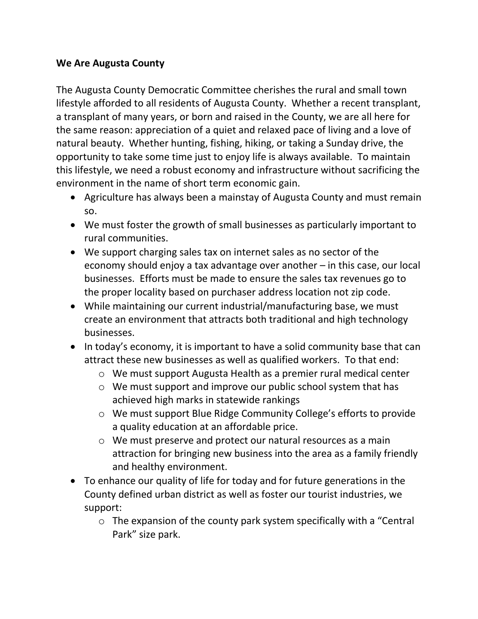## **We Are Augusta County**

The Augusta County Democratic Committee cherishes the rural and small town lifestyle afforded to all residents of Augusta County. Whether a recent transplant, a transplant of many years, or born and raised in the County, we are all here for the same reason: appreciation of a quiet and relaxed pace of living and a love of natural beauty. Whether hunting, fishing, hiking, or taking a Sunday drive, the opportunity to take some time just to enjoy life is always available. To maintain this lifestyle, we need a robust economy and infrastructure without sacrificing the environment in the name of short term economic gain.

- Agriculture has always been a mainstay of Augusta County and must remain so.
- We must foster the growth of small businesses as particularly important to rural communities.
- We support charging sales tax on internet sales as no sector of the economy should enjoy a tax advantage over another – in this case, our local businesses. Efforts must be made to ensure the sales tax revenues go to the proper locality based on purchaser address location not zip code.
- While maintaining our current industrial/manufacturing base, we must create an environment that attracts both traditional and high technology businesses.
- In today's economy, it is important to have a solid community base that can attract these new businesses as well as qualified workers. To that end:
	- o We must support Augusta Health as a premier rural medical center
	- o We must support and improve our public school system that has achieved high marks in statewide rankings
	- o We must support Blue Ridge Community College's efforts to provide a quality education at an affordable price.
	- o We must preserve and protect our natural resources as a main attraction for bringing new business into the area as a family friendly and healthy environment.
- To enhance our quality of life for today and for future generations in the County defined urban district as well as foster our tourist industries, we support:
	- o The expansion of the county park system specifically with a "Central Park" size park.